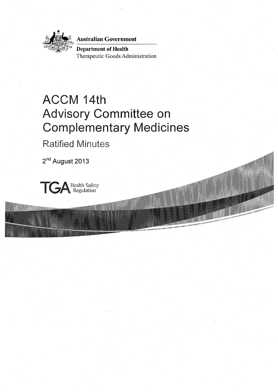··~:. **Australian Government** Australian Government



~~~~: I . *'-:-.!--t:* . , '"· ·"''" ''.·' *;:::'* ,. **Department of Health**  Therapeutic Goods Administration

# ACCM 14th Advisory **Committee** on Complementary Medicines

Ratified Minutes

**2nd August 2013** 

TG Health Safety Regulation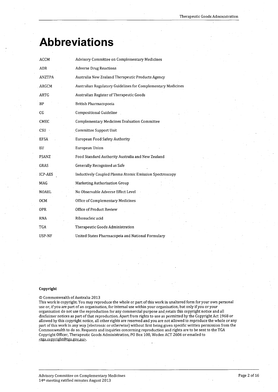# **Abbreviations**

| <b>ACCM</b>    | Advisory Committee on Complementary Medicines                |
|----------------|--------------------------------------------------------------|
| ADR            | <b>Adverse Drug Reactions</b>                                |
| <b>ANZTPA</b>  | Australia New Zealand Therapeutic Products Agency            |
| <b>ARGCM</b>   | Australian Regulatory Guidelines for Complementary Medicines |
| <b>ARTG</b>    | Australian Register of Therapeutic Goods                     |
| <b>BP</b>      | British Pharmacopoeia                                        |
| CG.            | Compositional Guideline                                      |
| <b>CMEC</b>    | Complementary Medicines Evaluation Committee                 |
| <b>CSU</b>     | Committee Support Unit                                       |
| <b>EFSA</b>    | European Food Safety Authority                               |
| EU             | European Union                                               |
| <b>FSANZ</b>   | Food Standard Authority Australia and New Zealand            |
| <b>GRAS</b>    | Generally Recognized as Safe                                 |
| <b>ICP-AES</b> | Inductively Coupled Plasma Atomic Emission Spectroscopy      |
| MAG            | Marketing Authorisation Group                                |
| <b>NOAEL</b>   | No Observable Adverse Effect Level                           |
| <b>OCM</b>     | Office of Complementary Medicines                            |
| <b>OPR</b>     | Office of Product Review                                     |
| <b>RNA</b>     | Ribonucleic acid                                             |
| TGA            | Therapeutic Goods Administration                             |
| USP-NF         | United States Pharmacopeia and National Formulary            |

#### **Copyright**

#### © Commonwealth of Australia 2013

This work is copyright. You may reproduce the whole or part of this work in unaltered form for your own personal use or, if you are part of an organisation, for internal use within your organisation, but only if you or your organisation do not use the reproduction for any commercial purpose and retain this copyright notice and all disclaimer notices as part of that reproduction. Apart from rights to use as permitted by the Copyright Act 1968 or allowed by this copyright notice, all other rights are reserved and you are not allowed to reproduce the whole or any part of this work in any way (electronic or otherwise) without first being given specific written permission from the Commonwealth to do so. Requests and inquiries concerning reproduction and rights are to be sent to the TGA Copyright Officer, Therapeutic Goods Administration, PO Box 100, Woden ACT 2606 or emailed to <tga.copyright@tga.gov.au>.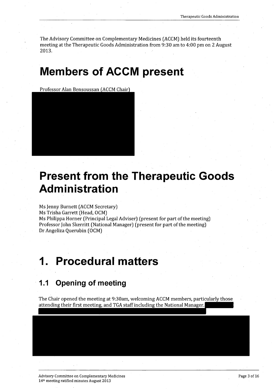The Advisory Committee on Complementary Medicines (ACCM) held its fourteenth meeting at the Therapeutic Goods Administration from 9:30 am to 4:00 pm on 2 August 2013.

# **Members of ACCM present**

Professor Alan Bensoussan (ACCM Chair)



# **Present from the Therapeutic Goods Administration**

Ms Jenny Burnett (ACCM Secretary) Ms Trisha Garrett (Head, OCM) Ms Philippa Horner (Principal Legal Adviser) (present for part of the meeting) Professor John Skerritt (National Manager) (present for part of the meeting) Dr Angeliza Querubin (OCM)

# **1. Procedural matters**

## **1.1 Opening of meeting**

The Chair opened the meeting at 9:30am, welcoming ACCM members, particularly those attending their first meeting, and TGA staff including the National Manager.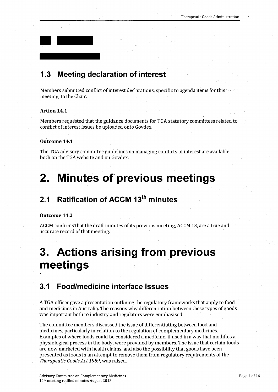

Members submitted conflict of interest declarations, specific to agenda items for this meeting, to the Chair.

#### **Action 14.1**

 $\blacksquare$ 

Members requested that the guidance documents for TGA statutory committees related to conflict of interest issues be uploaded onto Govdex.

#### **Outcome 14. 1**

The TGA advisory committee guidelines on managing conflicts of interest are available both on the TGA website and on Govdex.

## **2. Minutes of previous meetings**

## **2.1 Ratification of ACCM 13th minutes**

#### **Outcome 14.2**

ACCM confirms that the draft minutes of its previous meeting, ACCM 13, are a true and accurate record of that meeting.

# **3. Actions arising from previous meetings**

### **3.1 Food/medicine interface issues**

A TGA officer gave a presentation outlining the regulatory frameworks that apply to food and medicines in Australia. The reasons why differentiation between these types of goods was important both to industry and regulators were emphasised.

The committee members discussed the issue of differentiating between food and medicines, particularly in relation to the regulation of complementary medicines. Examples of where foods could be considered a medicine, if used in a way that modifies a physiological process in the body, were provided by members. The issue that certain foods are now marketed with health claims, and also the possibility that goods have been presented as foods in an attempt to remove them from regulatory requirements of the *Therapeutic Goods Act 1989,* was raised.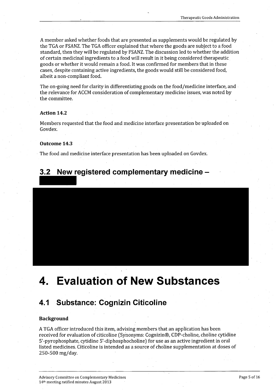*A* member asked whether foods that are presented as supplements would be regulated by the TGA or FSANZ. The TGA officer explained that where the goods are subject to a food standard, then they will be regulated by FSANZ. The discussion led to whether the addition of certain medicinal ingredients to a food will result in it being considered therapeutic goods or whether it would remain a food. It was confirmed for members that in these cases, despite containing active ingredients, the goods would still be considered food, albeit a non-compliant food.

The on-going need for clarity in differentiating goods on the food/medicine interface, and the relevance for ACCM consideration of complementary medicine issues, was noted by the committee.

#### **Action 14.2**

Members requested that the food and medicine interface presentation be uploaded on Govdex.

#### **Outcome 14;3**

The food and medicine interface presentation has been uploaded on Govdex.

## **3.2 New registered complementary medicine** -

# **4. Evaluation of New Substances**

### **4.1 Substance: Cognizin Citicoline**

#### **Background**

*A* TGA officer introduced this item, advising members that an application has been received for evaluation of citicoline (Synonyms: Cognizin®, CDP-choline, choline cytidine 5'-pyrophosphate, cytidine 5'-diphosphocholine) for use as an active ingredient in oral listed medicines. Citicoline is intended as a source of choline supplementation at doses of 250-500 mg/day.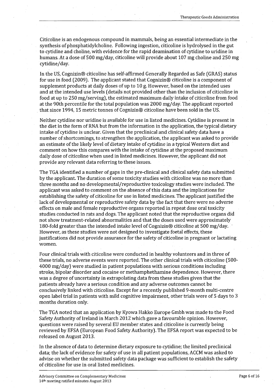Citicoline is an endogenous compound in mammals, being an essential intermediate in the synthesis of phosphatidylcholine. Following ingestion, citicoline is hydrolysed in the gut to cytidine and choline, with evidence for the rapid deamination of cytidine to uridine in humans. At a dose of 500 mg/day, citicoline will provide about 107 mg choline and 250 mg cytidine/day.

In the US, Cognizin® citicoline has self-affirmed Generally Regarded as Safe (GRAS) status for use in food (2009). The applicant stated that Cognizin® citicoline is a component of supplement products at daily doses of up to 10 g. However, based on the intended uses and at the intended use levels (details not provided other than the inclusion of citicoline in food at up to 250 mg/serving), the estimated maximum daily intake of citicoline from food at the 90th percentile for the total population was 2000 mg/day. The applicant reported that since 1994, 15 metric tonnes of Cognizin® citicoline have been sold in the US.

Neither cytidine nor uridine is available for use in listed medicines. Cytidine is present in the diet in the form of RNA but from the information in the application, the typical dietary intake of cytidine is unclear. Given that the preclinical and clinical safety data have a number of shortcomings, to strengthen the application, the applicant was asked to provide an estimate of the likely level of dietary intake of cytidine in a typical Western diet and comment on how this compares with the intake of cytidine at the proposed maximum daily dose of citicoline when used in listed medicines. However, the applicant did not provide any relevant data referring to these issues.

The TGA identified a number of gaps in the pre-clinical and clinical safety data submitted by the applicant. The duration of some toxicity studies with citicoline was no more than three months and no developmental/reproductive toxicology studies were included. The applicant was asked to comment on the absence of this data andthe implications for establishing the safety of citicoline for use in listed medicines. The applicant justified the lack of developmental or reproductive safety data by the fact that there were no adverse effects on male and female reproductive organs reported in repeat dose oral toxicity studies conducted in rats and dogs. The applicant noted that the reproductive organs did not show treatment-related abnormalities and that the doses used were approximately 180-fold greater than the intended intake level of Cognizin® citicoline at 500 mg/ day. · However, as these studies were not designed to investigate foetal effects, these justifications did not provide assurance for the safety of citicoline in pregnant or lactating women.

Four clinical trials with citicoline were conducted in healthy volunteers and in three of these trials, no adverse events were reported. The other clinical trials with citicoline (500- 4000 mg/day) were studied in patient populations with serious conditions including stroke, bipolar disorder and cocaine or methamphethamine dependence. However, there was a degree of uncertainty in extrapolating data from these studies given that the patients already have a serious condition and any adverse outcomes cannot be conclusively linked with citicoline. Except for a recently published 9-month multi-centre open label trial in patients with mild cognitive impairment, other trials were of 5 days to 3 months duration only.

The TGA noted that an application by Kyowa Hakka Europe Gmbh was made to the Food Safety Authority of Ireland in March 2012 which gave a favourable opinion. However, questions were raised by several EU member states and citicoline is currently being reviewed by EFSA (European Food Safety Authority). The EFSA report was expected to be released on August 2013.

In the absence of data to determine dietary exposure to cytidine; the limited preclinical data; the lack of evidence for safety of use in all patient populations, ACCM was asked to advise on whether the submitted safety data package was sufficient to establish the safety of citicoline for use in oral listed medicines.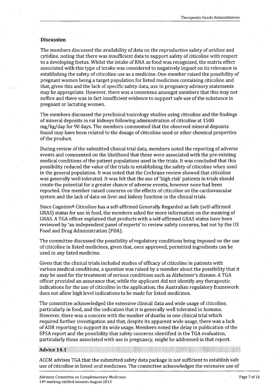#### **Discussion**

The members discussed the availability of data on the reproductive safety of uridine and cytidine, noting that there was insufficient data to support safety of citicoline with respect to a developing foetus. Whilst the intake of RNA as food was recognised, the matrix effect assodated with this type of intake was considered to negatively impact on its relevance in establishing the safety of citicoline use as a medicine. One member raised the possibility of pregnant women being a target population for listed medicines containing citicoline and that, given this and the lack of specific safety data, use in pregnancy advisory statements may be appropriate. However, there was a consensus amongst members that this may not suffice and there was in fact insufficient evidence to support safe use of the substance in pregnant or lactating women.

The members discussed the preclinical toxicology studies using citicoline and the findings ofmineral deposits in rat kidneys following administration of citicoline at 1500 mg/kg/day for 90 days. The members commented that the observed mineral deposits found may have been related to the dosage of citicoline used or other chemical properties of the product.

During review of the submitted clinical trial data, members noted the reporting of adverse events and commented on the likelihood that these were associated with the pre-existing medical conditions of the patient populations used in the trials. It was concluded that this possibility reduced the value of the trials in establishing the safety of citicoline when used in the general population. It was noted that the Cochrane review showed that citicoline was generally well tolerated. It was felt that the use of 'high risk' patients in trials should create the potential for a greater chance of adverse events, however none had been reported. One member raised concerns on the effects of citicoline on the cardiovascular system and the lack of data on liver and kidney function in the clinical trials.

Since Cognizin® Citicoline has a self-affirmed Generally Regarded as Safe (self-affirmed GRAS) status for use in food, the members asked for more information on the meaning of GRAS. *A* TGA officer explained that products with a self-affirmed GRAS status have been reviewed by 'an independent panel of experts' to review safety concerns, but not by the US Food and Drug Administration (FDA).

The committee discussed the possibility of regulatory conditions being imposed on the use of citicoline in listed medicines, given that, once approved, permitted ingredients can be used in any listed medicine.

Given that the clinical trials included studies of efficacy of citicoline in patients with various medical conditions, a question was raised by a member about the possibility that it may be used for the treatment of serious conditions such as Alzheimer's disease. *A* TGA officer provided an assurance that, while the applicant did not identify any therapeutic indications for the use of citicoline in the application, the Australian regulatory framework does not allow high level indications to be made for listed medicines.

The committee acknowledged the extensive clinical data and wide usage of citicoline, particularly in food, and the indication that it is generally well tolerated in humans. However, there was a concern with the number of deaths in one clinical trial which required further investigation and that, despite its apparent wide usage, there was a lack of ADR reporting to support its wide usage. Members noted the delay in publication of the EFSA report and the possibility that safety concerns identified in the TGA evaluation, particularly those associated with use in pregnancy, might be addressed in that report.

#### **Advice 14.1**

ACCM advises TGA that the submitted safety data package is not sufficient to establish safe use of citicoline in listed oral medicines. The committee acknowledges the extensive use of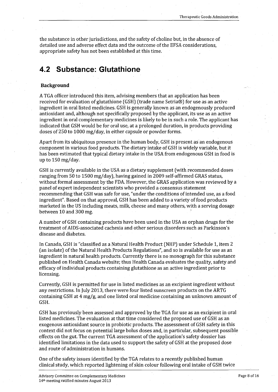the substance in other jurisdictions, and the safety of choline but, in the absence of detailed use and adverse effect data and the outcome of the EFSA considerations, appropriate safety has not been established at this time.

## **4.2 Substance: Glutathione**

#### **Background**

*A* TGA officer introduced this item, advising members that an application has been received for evaluation of glutathione (GSH) (trade name Setria®) for use as an active ingredient in oral listed medicines. GSH is generally known as an endogenously produced antioxidant and, although not specifically proposed by the applicant, its use as an active ingredient in oral complementary medicines is likely to be in such a role. The applicant has indicated that GSH would be for oral use, at a prolonged duration, in products providing doses of 250 to 1000 mg/day, in either capsule or powder forms.

Apart from its ubiquitous presence in the human body, GSH is present as an endogenous component in various food products. The dietary intake of GSH is widely variable, but it has been estimated that typical dietary intake in the USA from endogenous GSH in food is up to 150 mg/day.

GSH is currently available in the USA as a dietary supplement (with recommended doses ranging from 50 to 1500 mg/day), having gained in 2009 self-affirmed GRAS status, without formal assessment by the FDA. However, the GRAS application was reviewed by a panel of expert independent scientists who provided a consensus statement recommending that GSH was safe for use, "under the conditions of intended use, as a food ingredient". Based on that approval, GSH has been added to a variety of food products marketed in the US including meats, milk, cheese and many others, with a serving dosage between 10 and 300 mg.

*A* number of GSH containing products have been used in the USA as orphan drugs for the treatment of AIDS-associated cachexia and other serious disorders such as Parkinson's disease and diabetes.

In Canada, GSH is "classified as a Natural Health Product (NHP) under Schedule 1, item 2 (an isolate) of the Natural Health Products Regulations", and so is available for use as an ingredient in natural health products. Currently there is no monograph for this substance published on Health Canada website; thus Health Canada evaluates the quality, safety and efficacy of individual products containing glutathione as an active ingredient prior to licensing.

Currently, GSH is permitted for use in listed medicines as an excipient ingredient without any restrictions. In July 2013, there were four listed sunscreen products on the ARTG containing GSH at 4 mg/g, and one listed oral medicine containing an unknown amount of . GSH.

GSH has previously been assessed and approved by the TGA for use as an excipient in oral listed medicines. The evaluation at that time considered the proposed use of GSH as an exogenous antioxidant source in probiotic products. The assessment of GSH safety in this context did not focus on potential large bolus doses and, in particular, subsequent possible effects on the gut. The current TGA assessment of the application's safety dossier has identified limitations in the data used to support the safety of GSH at the proposed dose and route of administration in humans.

One of the safety issues identified by the TGA relates to a recently published human clinical study, which reported lightening of skin colour following oral intake of GSH twice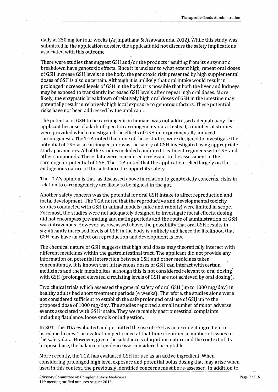daily at 250 mg for four weeks (Arjinpathana & Asawanonda, 2012). While this study was submitted in the application dossier, the applicant did not discuss the safety implications associated with this outcome.

There were studies that suggest GSH and/or the products resulting from its enzymatic breakdown have genotoxic effects. Since it is unclear to what extent high, repeat oral doses of GSH increase GSH levels in the body, the genotoxic risk presented by high supplemental doses of GSH is also uncertain. Although it is unlikely that oral intake would result in prolonged increased levels of GSH in the body, it is possible that both the liver and kidneys may be exposed to transiently increased GSH levels after repeat high oral doses. More likely, the enzymatic breakdown of relatively high oral doses of GSH in the intestine may potentially result in relatively high local exposure to genotoxic factors. These potential risks have not been addressed by the applicant.

The potential of GSH to be carcinogenic in humans was not addressed adequately by the applicant because of a lack of specific carcinogenicity data. Instead, a number of studies were provided which investigated the effects of GSH on experimentally-induced carcinogenesis. The TGA noted that none of these studies were designed to investigate the potential of GSH as a carcinogen, nor was the safety of GSH investigated using appropriate study parameters. All of the studies included combined treatment regimens with GSH and other compounds. These data were considered irrelevant to the assessment of the carcinogenic potential of GSH. The TGA noted that the application relied largely on the endogenous nature of the substance to support its safety.

The TGA's opinion is that, as discussed above in relation to genotoxicity concerns, risks in relation to carcinogenicity are likely to be highest in the gut.

Another safety concern was the potential for oral GSH intake to affect reproduction and foetal development. The TGA noted that the reproductive and developmental toxicity studies conducted with GSH in animal models (mice and rabbits) were limited in scope. Foremost, the studies were not adequately designed to investigate foetal effects, dosing did not encompass pre-mating and mating periods and the route of administration of GSH was intravenous. However, as discussed above, the possibility that oral GSH results in significantly increased levels of GSH in the body is unlikely and hence the likelihood that GSH may have an effect on reproduction and development is low.

The chemical nature of GSH suggests that high oral doses may theoretically interact with different medicines within the gastrointestinal tract. The applicant did not provide any information on potential interaction between GSH and other medicines taken concomitantly. It is known that intravenous doses of GSH can interact with certain medicines and their metabolites, although this is not considered relevant to oral dosing· with GSH (prolonged elevated circulating levels of GSH are not achieved by oral dosing).

Two clinical trials which assessed the general safety of oral GSH (up to 1000 mg/day) in: healthy adults had short treatment periods (4 weeks). Therefore, the studies alone were not considered sufficient to establish the safe prolonged oral use of GSH up to the proposed dose of 1000 mg/ day. The studies reported a small number of minor adverse events associated with GSH intake. They were mainly gastrointestinal complaints including flatulence, loose stools or indigestion.

In 2011 the TGA evaluated and permitted the use of GSH as an excipierit ingredient in listed medicines. The evaluation performed at that time identified a number of issues in the safety data. However, given the substance's ubiquitous nature and the context of its proposed use, the balance of evidence was considered acceptable.

More recently, the TGA has evaluated GSH for use as an active ingredient. When considering prolonged high level exposure and potential bolus dosing that may arise when used in this context, the previously identified concerns must be re-assessed. In addition to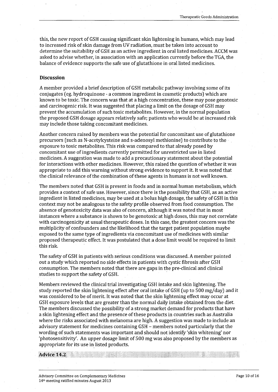this, the new report of GSH causing significant skin lightening in humans, which may lead to increased risk of skin damage from UV radiation, must be taken into account to determine the suitability of GSH as an active ingredient in oral listed medicines. ACCM was asked to advise whether, in association with an application currently before the TGA, the balance of evidence supports the safe use of glutathione in oral listed medicines.

#### **Discussion**

A member provided a brief description of GSH metabolic pathway involving some of its conjugates.(eg. hydroquinone - a common ingredient in cosmetic products) which are known to be toxic. The concern was that at a high concentration, these may pose genotoxic and carcinogenic risk It was suggested that placing a limit on the dosage of GSH may prevent the accumulation of such toxic metabolites. However, in the normal population the proposed GSH dosage appears relatively safe; patients who would be at increased risk may include those taking concomitant medicines.

Another concern raised by members was the potential for concomitant use of glutathione precursors (such as N-acetylcysteine and s-adenosyl methionine) to contribute to the · exposure to toxic metabolites. This risk was compared to that already posed by concomitant use of ingredients currently permitted for unrestricted use in listed medicines. A suggestion was made to add a precautionary statement about the potential for interactions with other medicines. However, this raised the question of whether it was appropriate to add this warning without strong evidence to support it. It was noted that the clinical relevance of the combination of these agents in humans is not well known.

The members noted that GSH is present in foods and in normal human metabolism, which provides a context of safe use. However, since there is the possibility that GSH, as an active ingredient in listed medicines, may be used at a bolus high dosage, the safety of GSH in this context may not be analogous to the safety profile observed from food consumption. The absence of genotoxicity data was also of concern, although it was noted that in most instances where a substance is shown to be genotoxic at high doses, this may not correlate with carcinogenicity at usual therapeutic doses. In this case, the greatest concern was the multiplicity of confounders and the likelihood that the target patient population maybe exposed to the same type of ingredients via concomitant use of medicines with similar proposed therapeutic effect. It was postulated that a dose limit would be required to limit this risk

The safety of GSH in patients with serious conditions was discussed. A member pointed out a study which reported no side effects in patients with cystic fibrosis after GSH consumption. The members noted that there are gaps in the pre-clinical and clinical studies to support the safety of GSH.

Members reviewed the clinical trial investigating GSH intake and skin lightening. The study reported the skin lightening effect after oral intake of GSH (up to 500 mg/day) and it was considered to be of merit. It was noted that the skin lightening effect may occur at GSH exposure levels that are greater than the normal daily intake obtained from the diet. The members discussed the possibility of a strong market demand for products that have a skin lightening effect and the presence of these products in countries such as Australia where the risks associated with melanoma are high. *A* suggestion was made to include an advisory statement for medicines containing GSH - members noted particularly that the wording of such statements was important and should not identify 'skin whitening' nor 'photosensitivity'. An upper dosage limit of 500 mg was also proposed by the members as appropriate for its use in listed products.

**Advice 14.2**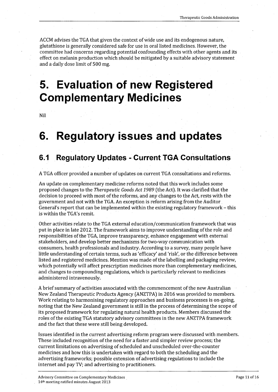ACCM advises the TGA that given the context of wide use and its endogenous nature, glutathione is generally considered safe for use in oral listed medicines. However, the committee had concerns regarding potential confounding effects with other agents and its effect on melanin production which should be mitigated by a suitable advisory statement and a daily dose limit of 500 mg.

# **5. Evaluation of new Registered Complementary Medicines**

Nil

## **6. Regulatory issues and updates**

## **6.1 Regulatory Updates - Current TGA Consultations**

A TGA officer provided a number of updates on current TGA consultations and reforms.

An update on complementary medicine reforms noted that this work includes some proposed changes to the *Therapeutic Goods Act 1989* (the Act). It was clarified that the decision to proceed with most of the reforms, and any changes to the Act, rests with the government and not with the TGA. An exception is reform arising from the Auditor General's report that can be implemented within the existing regulatory framework - this is within the TGA's remit.

Other activities relate to the TGA external education/communication framework that was put in place in late 2012. The framework aims to improve understanding of the role and responsibilities of the TGA, improve transparency, enhance engagement with external stakeholders, and develop better mechanisms for two-way communication with consumers, health professionals and industry. According to a survey, many people have little understanding of certain terms, such as 'efficacy' and 'risk', or the difference between listed and registered medicines. Mention was made of the labelling and packaging review, which potentially will affect prescription medicines more than complementary medicines, and changes to compounding regulations, which is particularly relevant to medicines administered intravenously.

A brief summary of activities associated with the commencement of the new Australian New Zealand Therapeutic Products Agency (ANZTPA) in 2016 was provided to members. Work relating to harmonising regulatory approaches and business processes is on-going, noting that the New Zealand government is still in the process of determining the scope of its proposed framework for regulating natural health products. Members discussed the roles of the existing TGA statutory advisory committees in the new ANZTPA framework and the fact that these were still being developed.

Issues identified in the current advertising reform program were discussed with members. These included recognition of the need for a faster and simpler review process; the current limitations on advertising of scheduled and unscheduled over-the-counter medicines and how this is undertaken with regard to both the scheduling and the advertising frameworks; possible extension of advertising regulations to include the internet and pay TV; and advertising to practitioners.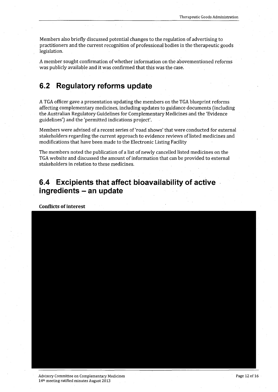Members also briefly discussed potential changes to the regulation of advertising to practitioners and the current recognition of professional bodies in the therapeutic goods legislation.

A member sought confirmation of whether information on the abovementioned reforms was publicly available and it was confirmed that this was the case.

## **6.2 Regulatory reforms update**

 $\mathcal{L}^{\text{max}}$ 

A TGA officer gave a presentation updating the members on the TGA blueprint reforms affecting complementary medicines, including updates to guidance documents (including the Australian Regulatory Guidelines for Complementary Medicines and the 'Evidence guidelines') and the 'permitted indications project'.

Members were advised of a recent series of 'road shows' that were conducted for external stakeholders regarding the current approach to evidence reviews of listed medicines and modifications that have been made to the Electronic Listing Facility

The members noted the publication of a list of newly cancelled listed medicines on the TGA website and discussed the amount of information that can be provided to external stakeholders in relation to these medicines.

## **6.4 Excipients that affect bioavailability of active ingredients - an update**

**Conflicts of interest** 

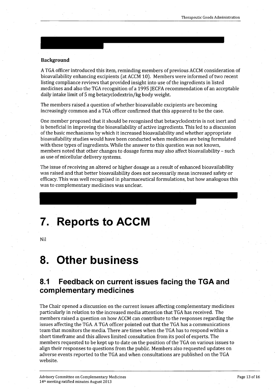#### **Background**

A TGA officer introduced this item, reminding members of previous ACCM consideration of bioavailability enhancing excipients (at ACCM 10). Members were informed of two recent listing compliance reviews that provided insight into use of the ingredients in listed medicines and also the TGA recognition of a 1995 JECFA recommendation of an acceptable daily intake limit of 5 mg betacyclodextrin/kg body weight.

The members raised a question of whether bioavailable excipients are becoming increasingly common and a TGA officer confirmed that this appeared to be the case.

One member proposed that it should be recognised that betacyclodextrin is not inert and is beneficial in improving the bioavailability of active ingredients. This led to a discussion of the basic mechanisms by which it increased bioavailability and whether appropriate bioavailabillty studies would have been conducted when medicines are being formulated with these types of ingredients. While the answer to this question was not known, members noted that other changes to dosage forms may also affect bioavailability - such as use of micellular delivery systems.

The issue of receiving an altered or higher dosage as a result of enhanced bioavailability was raised and that better bioavailability does not necessarily mean increased safety or efficacy. This was well recognised in pharmaceutical formulations, but how analogous this was to complementary medicines was unclear.

# **7. Reports to ACCM**

Nil

## **8. Other business**

### **8.1 Feedback on current issues facing the TGA and complementary medicines**

The Chair opened a discussion on the current issues affecting complementary medicines particularly in relation to the increased media attention that TGA has received. The members raised a question on how ACCM can contribute to the responses regarding the issues affecting the TGA. A TGA officer pointed out that the TGA has a communications team that monitors the media. There are times when the TGA has to respond within a short timeframe and this allows limited consultation from its pool of experts. The members requested to be kept up to date on the position of the TGA on various issues to align their responses to questions from the public. Members also requested updates on adverse events reported to the TGA and when consultations are published on the TGA website.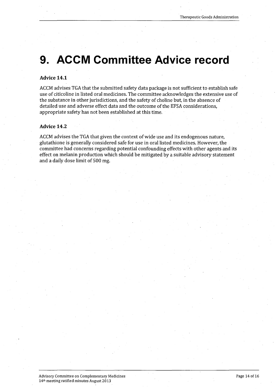# **9. ACCM Committee Advice record**

#### **Advice 14.1**

ACCM advises TGA that the submitted safety data package is not sufficient to establish safe use of citicoline in listed oral medicines. The committee acknowledges the extensive use of the substance in other jurisdictions, and the safety of choline but, in the absence of detailed use and adverse effect data and the outcome of the EFSA considerations, appropriate safety has not been established at this time.

#### **Advice 14.2**

ACCM advises the TGA that given the context of wide use and its endogenous nature, glutathione is generally considered safe for use in oral listed medicines. However, the committee had concerns regarding potential confounding effects with other agents and its effect on melanin production which should be mitigated by a suitable advisory statement and a daily dose limit of 500 mg.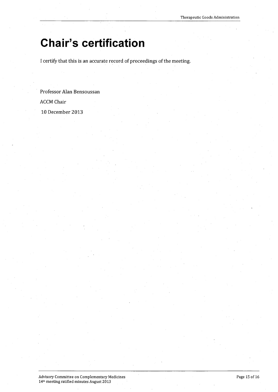# **Chair's certification**

I certify that this is an accurate record of proceedings of the meeting.

Professor Alan Bensoussan ACCM Chair 10 December 2013